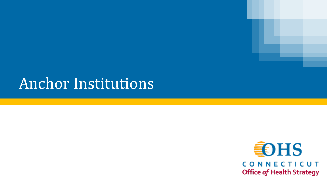## Anchor Institutions

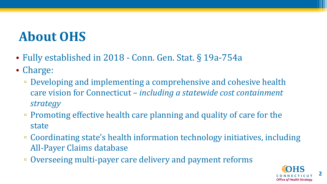## **About OHS**

- Fully established in 2018 Conn. Gen. Stat. § 19a-754a
- Charge:
	- Developing and implementing a comprehensive and cohesive health care vision for Connecticut – *including a statewide cost containment strategy*
	- Promoting effective health care planning and quality of care for the state
	- Coordinating state's health information technology initiatives, including All-Payer Claims database
	- Overseeing multi-payer care delivery and payment reforms

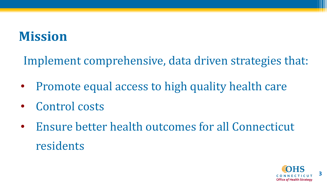## **Mission**

Implement comprehensive, data driven strategies that:

- Promote equal access to high quality health care
- Control costs
- Ensure better health outcomes for all Connecticut residents

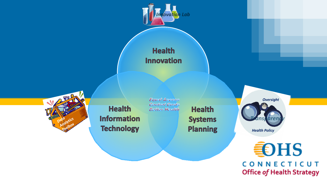

CONNECTICUT **Office of Health Strategy**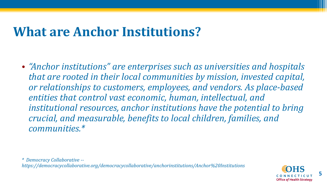#### **What are Anchor Institutions?**

• *"Anchor institutions" are enterprises such as universities and hospitals that are rooted in their local communities by mission, invested capital, or relationships to customers, employees, and vendors. As place-based entities that control vast economic, human, intellectual, and institutional resources, anchor institutions have the potential to bring crucial, and measurable, benefits to local children, families, and communities.\** 

*\* Democracy Collaborative - https://democracycollaborative.org/democracycollaborative/anchorinstitutions/Anchor%20Institutions*

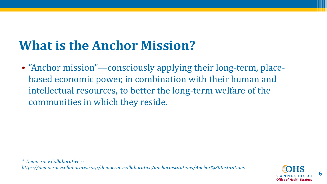## **What is the Anchor Mission?**

• "Anchor mission"—consciously applying their long-term, placebased economic power, in combination with their human and intellectual resources, to better the long-term welfare of the communities in which they reside.

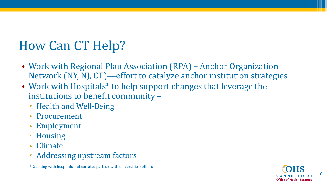## How Can CT Help?

- Work with Regional Plan Association (RPA) Anchor Organization Network (NY, NJ, CT)—effort to catalyze anchor institution strategies
- Work with Hospitals\* to help support changes that leverage the institutions to benefit community –
	- Health and Well-Being
	- Procurement
	- Employment
	- Housing
	- Climate
	- Addressing upstream factors

\* Starting with hospitals, but can also partner with universities/others

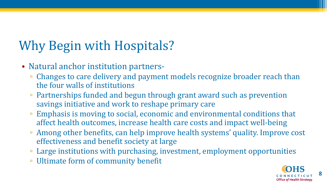## Why Begin with Hospitals?

- Natural anchor institution partners-
	- Changes to care delivery and payment models recognize broader reach than the four walls of institutions
	- Partnerships funded and begun through grant award such as prevention savings initiative and work to reshape primary care
	- Emphasis is moving to social, economic and environmental conditions that affect health outcomes, increase health care costs and impact well-being
	- Among other benefits, can help improve health systems' quality. Improve cost effectiveness and benefit society at large
	- Large institutions with purchasing, investment, employment opportunities
	- Ultimate form of community benefit

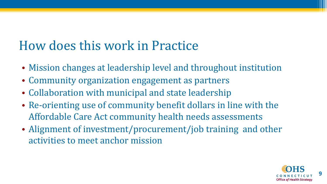#### How does this work in Practice

- Mission changes at leadership level and throughout institution
- Community organization engagement as partners
- Collaboration with municipal and state leadership
- Re-orienting use of community benefit dollars in line with the Affordable Care Act community health needs assessments
- Alignment of investment/procurement/job training and other activities to meet anchor mission

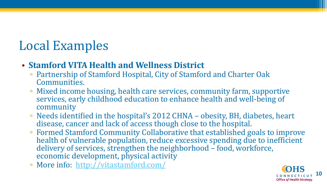### Local Examples

#### • **Stamford VITA Health and Wellness District**

- Partnership of Stamford Hospital, City of Stamford and Charter Oak Communities.
- Mixed income housing, health care services, community farm, supportive services, early childhood education to enhance health and well-being of community
- Needs identified in the hospital's 2012 CHNA obesity, BH, diabetes, heart disease, cancer and lack of access though close to the hospital.
- Formed Stamford Community Collaborative that established goals to improve health of vulnerable population, reduce excessive spending due to inefficient delivery of services, strengthen the neighborhood – food, workforce, economic development, physical activity
- More info: <http://vitastamford.com/>

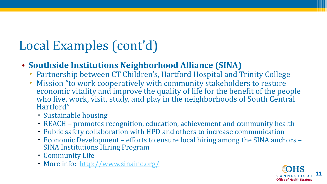## Local Examples (cont'd)

#### • **Southside Institutions Neighborhood Alliance (SINA)**

- Partnership between CT Children's, Hartford Hospital and Trinity College
- Mission "to work cooperatively with community stakeholders to restore economic vitality and improve the quality of life for the benefit of the people who live, work, visit, study, and play in the neighborhoods of South Central Hartford"
	- ' Sustainable housing
	- ' REACH promotes recognition, education, achievement and community health
	- ' Public safety collaboration with HPD and others to increase communication
	- ' Economic Development efforts to ensure local hiring among the SINA anchors SINA Institutions Hiring Program
	- ' Community Life
	- ' More info: <http://www.sinainc.org/>

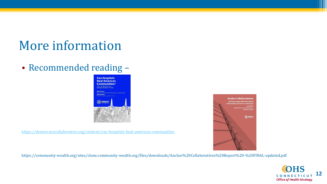#### More information

• Recommended reading –



<https://democracycollaborative.org/content/can-hospitals-heal-americas-communities>

https://community-wealth.org/sites/clone.community-wealth.org/files/downloads/Anchor%20Collaboratives%20Report%20-%20FINAL-updated.pdf



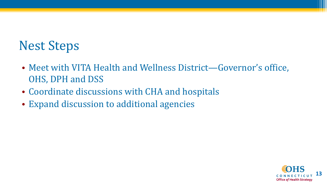#### Nest Steps

- Meet with VITA Health and Wellness District—Governor's office, OHS, DPH and DSS
- Coordinate discussions with CHA and hospitals
- Expand discussion to additional agencies